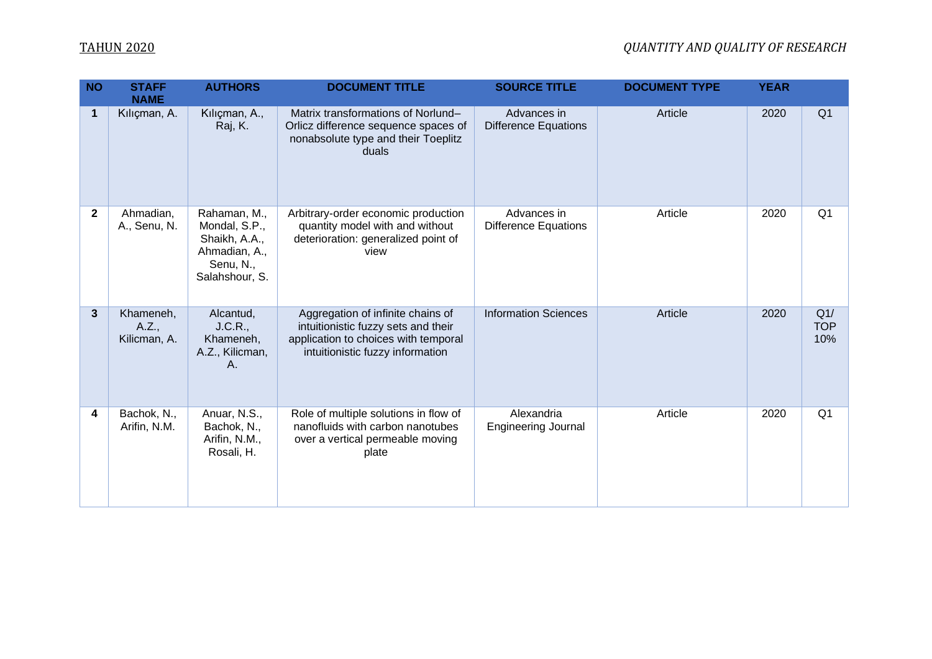### TAHUN 2020 *QUANTITY AND QUALITY OF RESEARCH*

| <b>NO</b>    | <b>STAFF</b><br><b>NAME</b>        | <b>AUTHORS</b>                                                                                 | <b>DOCUMENT TITLE</b>                                                                                                                                | <b>SOURCE TITLE</b>                        | <b>DOCUMENT TYPE</b> | <b>YEAR</b> |                          |
|--------------|------------------------------------|------------------------------------------------------------------------------------------------|------------------------------------------------------------------------------------------------------------------------------------------------------|--------------------------------------------|----------------------|-------------|--------------------------|
| $\mathbf 1$  | Kılıçman, A.                       | Kılıçman, A.,<br>Raj, K.                                                                       | Matrix transformations of Norlund-<br>Orlicz difference sequence spaces of<br>nonabsolute type and their Toeplitz<br>duals                           | Advances in<br><b>Difference Equations</b> | Article              | 2020        | Q <sub>1</sub>           |
| $\mathbf{2}$ | Ahmadian,<br>A., Senu, N.          | Rahaman, M.,<br>Mondal, S.P.,<br>Shaikh, A.A.,<br>Ahmadian, A.,<br>Senu, N.,<br>Salahshour, S. | Arbitrary-order economic production<br>quantity model with and without<br>deterioration: generalized point of<br>view                                | Advances in<br><b>Difference Equations</b> | Article              | 2020        | Q <sub>1</sub>           |
| $\mathbf{3}$ | Khameneh,<br>A.Z.,<br>Kilicman, A. | Alcantud,<br>J.C.R.,<br>Khameneh,<br>A.Z., Kilicman,<br>A.                                     | Aggregation of infinite chains of<br>intuitionistic fuzzy sets and their<br>application to choices with temporal<br>intuitionistic fuzzy information | <b>Information Sciences</b>                | Article              | 2020        | Q1/<br><b>TOP</b><br>10% |
| 4            | Bachok, N.,<br>Arifin, N.M.        | Anuar, N.S.,<br>Bachok, N.,<br>Arifin, N.M.,<br>Rosali, H.                                     | Role of multiple solutions in flow of<br>nanofluids with carbon nanotubes<br>over a vertical permeable moving<br>plate                               | Alexandria<br><b>Engineering Journal</b>   | Article              | 2020        | Q <sub>1</sub>           |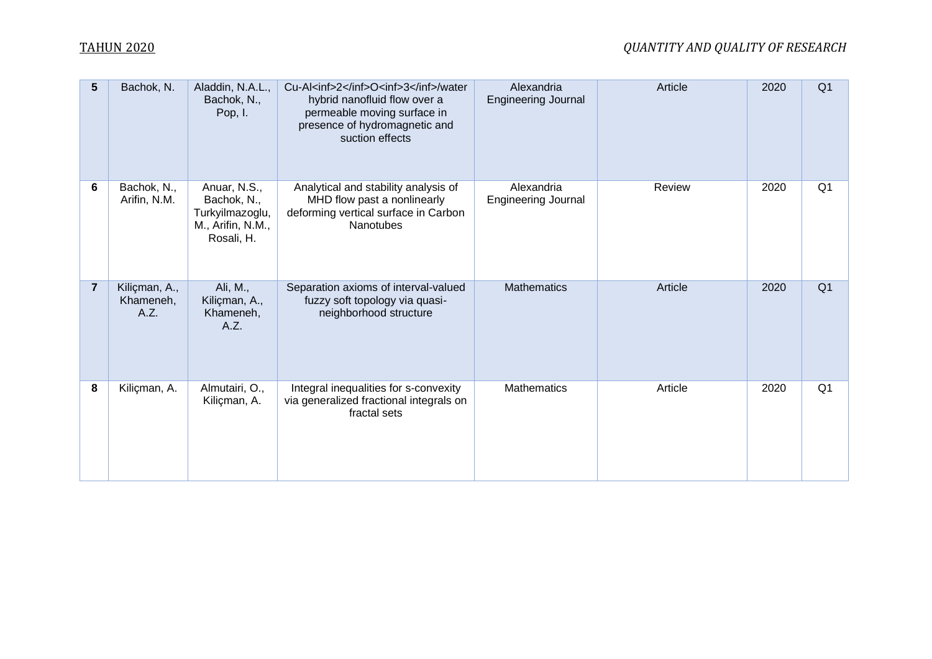## TAHUN 2020 *QUANTITY AND QUALITY OF RESEARCH*

| 5              | Bachok, N.                         | Aladdin, N.A.L.,<br>Bachok, N.,<br>Pop, I.                                        | Cu-Al <inf>2</inf> O <inf>3</inf> /water<br>hybrid nanofluid flow over a<br>permeable moving surface in<br>presence of hydromagnetic and<br>suction effects | Alexandria<br><b>Engineering Journal</b> | Article | 2020 | Q <sub>1</sub> |
|----------------|------------------------------------|-----------------------------------------------------------------------------------|-------------------------------------------------------------------------------------------------------------------------------------------------------------|------------------------------------------|---------|------|----------------|
| 6              | Bachok, N.,<br>Arifin, N.M.        | Anuar, N.S.,<br>Bachok, N.,<br>Turkyilmazoglu,<br>M., Arifin, N.M.,<br>Rosali, H. | Analytical and stability analysis of<br>MHD flow past a nonlinearly<br>deforming vertical surface in Carbon<br><b>Nanotubes</b>                             | Alexandria<br>Engineering Journal        | Review  | 2020 | Q <sub>1</sub> |
| $\overline{7}$ | Kiliçman, A.,<br>Khameneh,<br>A.Z. | Ali, M.,<br>Kiliçman, A.,<br>Khameneh,<br>A.Z.                                    | Separation axioms of interval-valued<br>fuzzy soft topology via quasi-<br>neighborhood structure                                                            | <b>Mathematics</b>                       | Article | 2020 | Q <sub>1</sub> |
| 8              | Kiliçman, A.                       | Almutairi, O.,<br>Kiliçman, A.                                                    | Integral inequalities for s-convexity<br>via generalized fractional integrals on<br>fractal sets                                                            | Mathematics                              | Article | 2020 | Q <sub>1</sub> |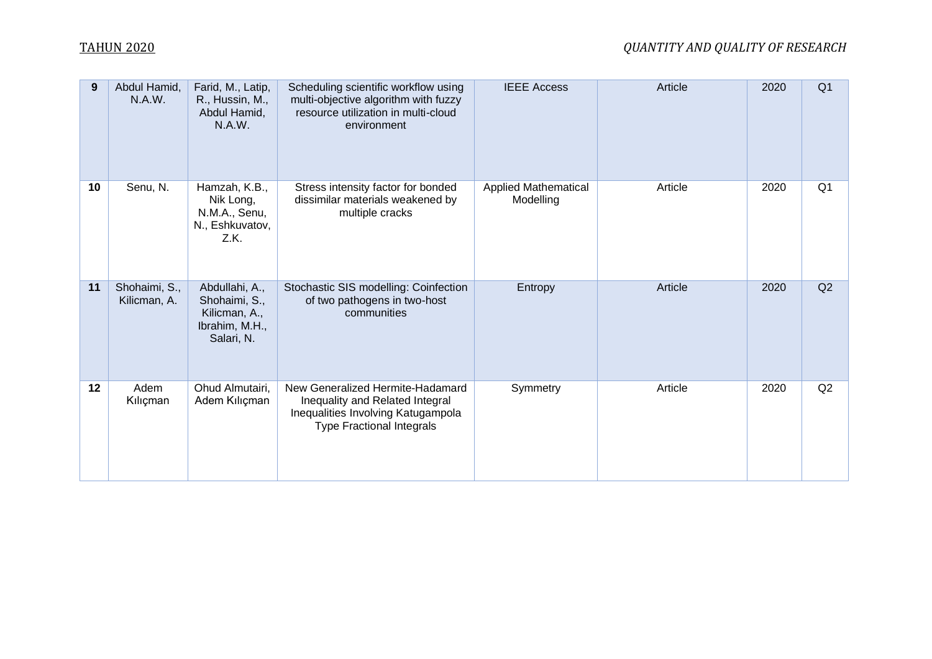| 9  | Abdul Hamid,<br>N.A.W.        | Farid, M., Latip,<br>R., Hussin, M.,<br>Abdul Hamid,<br>N.A.W.                   | Scheduling scientific workflow using<br>multi-objective algorithm with fuzzy<br>resource utilization in multi-cloud<br>environment            | <b>IEEE Access</b>                       | Article | 2020 | Q <sub>1</sub> |
|----|-------------------------------|----------------------------------------------------------------------------------|-----------------------------------------------------------------------------------------------------------------------------------------------|------------------------------------------|---------|------|----------------|
| 10 | Senu, N.                      | Hamzah, K.B.,<br>Nik Long,<br>N.M.A., Senu,<br>N., Eshkuvatov,<br>Z.K.           | Stress intensity factor for bonded<br>dissimilar materials weakened by<br>multiple cracks                                                     | <b>Applied Mathematical</b><br>Modelling | Article | 2020 | Q <sub>1</sub> |
| 11 | Shohaimi, S.,<br>Kilicman, A. | Abdullahi, A.,<br>Shohaimi, S.,<br>Kilicman, A.,<br>Ibrahim, M.H.,<br>Salari, N. | Stochastic SIS modelling: Coinfection<br>of two pathogens in two-host<br>communities                                                          | Entropy                                  | Article | 2020 | Q2             |
| 12 | Adem<br>Kılıçman              | Ohud Almutairi,<br>Adem Kılıçman                                                 | New Generalized Hermite-Hadamard<br>Inequality and Related Integral<br>Inequalities Involving Katugampola<br><b>Type Fractional Integrals</b> | Symmetry                                 | Article | 2020 | Q2             |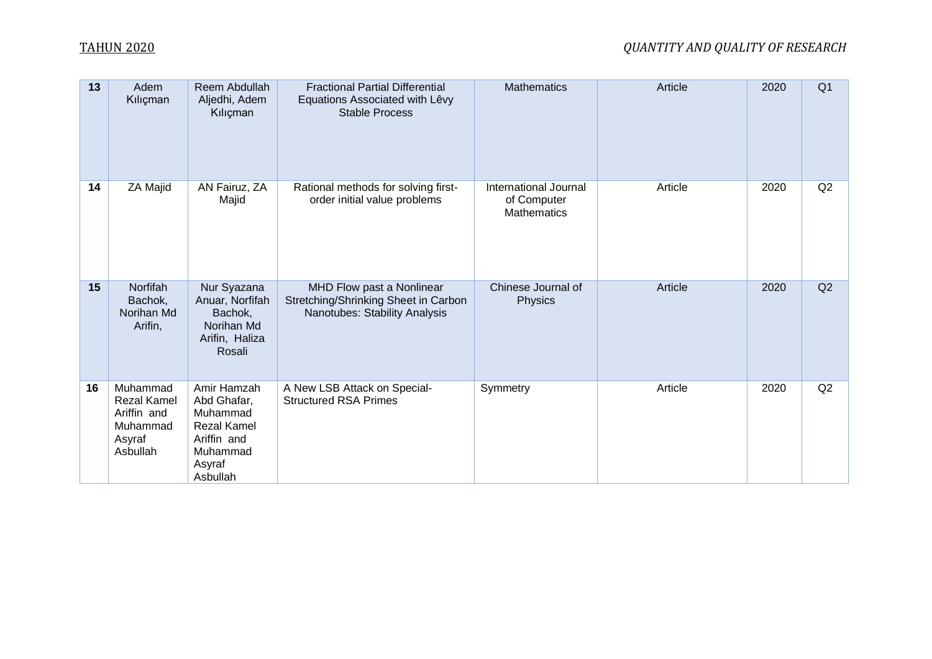| 13 | Adem<br>Kılıçman                                                                | Reem Abdullah<br>Aljedhi, Adem<br>Kılıçman                                                                    | <b>Fractional Partial Differential</b><br>Equations Associated with Lêvy<br><b>Stable Process</b>  | <b>Mathematics</b>                                         | Article | 2020 | Q <sub>1</sub> |
|----|---------------------------------------------------------------------------------|---------------------------------------------------------------------------------------------------------------|----------------------------------------------------------------------------------------------------|------------------------------------------------------------|---------|------|----------------|
| 14 | ZA Majid                                                                        | AN Fairuz, ZA<br>Majid                                                                                        | Rational methods for solving first-<br>order initial value problems                                | International Journal<br>of Computer<br><b>Mathematics</b> | Article | 2020 | Q2             |
| 15 | Norfifah<br>Bachok,<br>Norihan Md<br>Arifin,                                    | Nur Syazana<br>Anuar, Norfifah<br>Bachok,<br>Norihan Md<br>Arifin, Haliza<br>Rosali                           | MHD Flow past a Nonlinear<br>Stretching/Shrinking Sheet in Carbon<br>Nanotubes: Stability Analysis | Chinese Journal of<br><b>Physics</b>                       | Article | 2020 | Q2             |
| 16 | Muhammad<br><b>Rezal Kamel</b><br>Ariffin and<br>Muhammad<br>Asyraf<br>Asbullah | Amir Hamzah<br>Abd Ghafar,<br>Muhammad<br><b>Rezal Kamel</b><br>Ariffin and<br>Muhammad<br>Asyraf<br>Asbullah | A New LSB Attack on Special-<br><b>Structured RSA Primes</b>                                       | Symmetry                                                   | Article | 2020 | Q2             |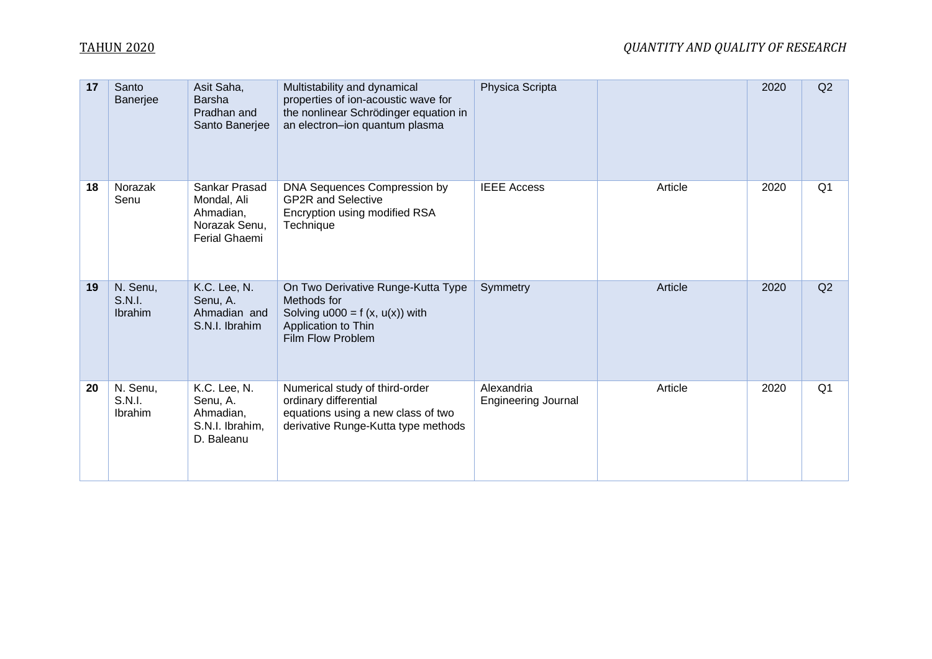| 17 | Santo<br>Banerjee                    | Asit Saha,<br><b>Barsha</b><br>Pradhan and<br>Santo Banerjee                | Multistability and dynamical<br>properties of ion-acoustic wave for<br>the nonlinear Schrödinger equation in<br>an electron-ion quantum plasma | Physica Scripta                          |         | 2020 | Q2             |
|----|--------------------------------------|-----------------------------------------------------------------------------|------------------------------------------------------------------------------------------------------------------------------------------------|------------------------------------------|---------|------|----------------|
| 18 | Norazak<br>Senu                      | Sankar Prasad<br>Mondal, Ali<br>Ahmadian,<br>Norazak Senu,<br>Ferial Ghaemi | DNA Sequences Compression by<br><b>GP2R and Selective</b><br>Encryption using modified RSA<br>Technique                                        | <b>IEEE Access</b>                       | Article | 2020 | Q <sub>1</sub> |
| 19 | N. Senu,<br>S.N.I.<br>Ibrahim        | K.C. Lee, N.<br>Senu, A.<br>Ahmadian and<br>S.N.I. Ibrahim                  | On Two Derivative Runge-Kutta Type<br>Methods for<br>Solving $u000 = f(x, u(x))$ with<br>Application to Thin<br>Film Flow Problem              | Symmetry                                 | Article | 2020 | Q2             |
| 20 | N. Senu,<br><b>S.N.I.</b><br>Ibrahim | K.C. Lee, N.<br>Senu, A.<br>Ahmadian,<br>S.N.I. Ibrahim,<br>D. Baleanu      | Numerical study of third-order<br>ordinary differential<br>equations using a new class of two<br>derivative Runge-Kutta type methods           | Alexandria<br><b>Engineering Journal</b> | Article | 2020 | Q <sub>1</sub> |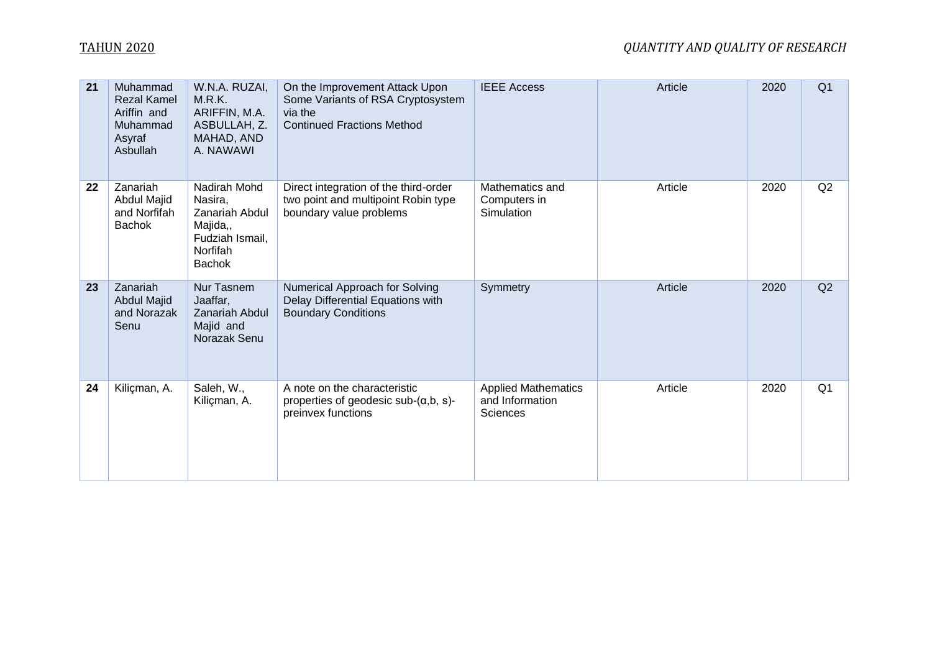# TAHUN 2020 *QUANTITY AND QUALITY OF RESEARCH*

| 21 | Muhammad<br><b>Rezal Kamel</b><br>Ariffin and<br>Muhammad<br>Asyraf<br>Asbullah | W.N.A. RUZAI,<br>M.R.K.<br>ARIFFIN, M.A.<br>ASBULLAH, Z.<br>MAHAD, AND<br>A. NAWAWI                          | On the Improvement Attack Upon<br>Some Variants of RSA Cryptosystem<br>via the<br><b>Continued Fractions Method</b> | <b>IEEE Access</b>                                        | Article | 2020 | Q <sub>1</sub> |
|----|---------------------------------------------------------------------------------|--------------------------------------------------------------------------------------------------------------|---------------------------------------------------------------------------------------------------------------------|-----------------------------------------------------------|---------|------|----------------|
| 22 | Zanariah<br>Abdul Majid<br>and Norfifah<br><b>Bachok</b>                        | Nadirah Mohd<br>Nasira,<br><b>Zanariah Abdul</b><br>Majida,,<br>Fudziah Ismail,<br>Norfifah<br><b>Bachok</b> | Direct integration of the third-order<br>two point and multipoint Robin type<br>boundary value problems             | Mathematics and<br>Computers in<br>Simulation             | Article | 2020 | Q2             |
| 23 | Zanariah<br><b>Abdul Majid</b><br>and Norazak<br>Senu                           | Nur Tasnem<br>Jaaffar,<br><b>Zanariah Abdul</b><br>Majid and<br>Norazak Senu                                 | Numerical Approach for Solving<br>Delay Differential Equations with<br><b>Boundary Conditions</b>                   | Symmetry                                                  | Article | 2020 | Q2             |
| 24 | Kiliçman, A.                                                                    | Saleh, W.,<br>Kiliçman, A.                                                                                   | A note on the characteristic<br>properties of geodesic sub- $(\alpha, b, s)$ -<br>preinvex functions                | <b>Applied Mathematics</b><br>and Information<br>Sciences | Article | 2020 | Q <sub>1</sub> |